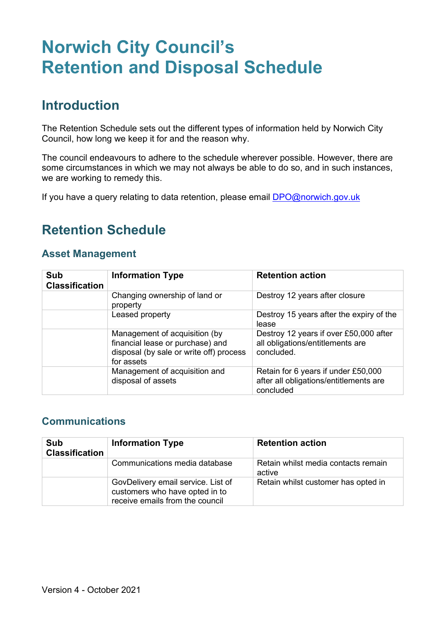# **Norwich City Council's Retention and Disposal Schedule**

### **Introduction**

The Retention Schedule sets out the different types of information held by Norwich City Council, how long we keep it for and the reason why.

The council endeavours to adhere to the schedule wherever possible. However, there are some circumstances in which we may not always be able to do so, and in such instances, we are working to remedy this.

If you have a query relating to data retention, please email [DPO@norwich.gov.uk](mailto:DPO@norwich.gov.uk)

# **Retention Schedule**

#### **Asset Management**

| <b>Sub</b><br><b>Classification</b> | <b>Information Type</b>                                                                                                    | <b>Retention action</b>                                                                    |
|-------------------------------------|----------------------------------------------------------------------------------------------------------------------------|--------------------------------------------------------------------------------------------|
|                                     | Changing ownership of land or<br>property                                                                                  | Destroy 12 years after closure                                                             |
|                                     | Leased property                                                                                                            | Destroy 15 years after the expiry of the<br>lease                                          |
|                                     | Management of acquisition (by<br>financial lease or purchase) and<br>disposal (by sale or write off) process<br>for assets | Destroy 12 years if over £50,000 after<br>all obligations/entitlements are<br>concluded.   |
|                                     | Management of acquisition and<br>disposal of assets                                                                        | Retain for 6 years if under £50,000<br>after all obligations/entitlements are<br>concluded |

#### **Communications**

| Sub<br><b>Classification</b> | <b>Information Type</b>                                                                                 | <b>Retention action</b>                       |
|------------------------------|---------------------------------------------------------------------------------------------------------|-----------------------------------------------|
|                              | Communications media database                                                                           | Retain whilst media contacts remain<br>active |
|                              | GovDelivery email service. List of<br>customers who have opted in to<br>receive emails from the council | Retain whilst customer has opted in           |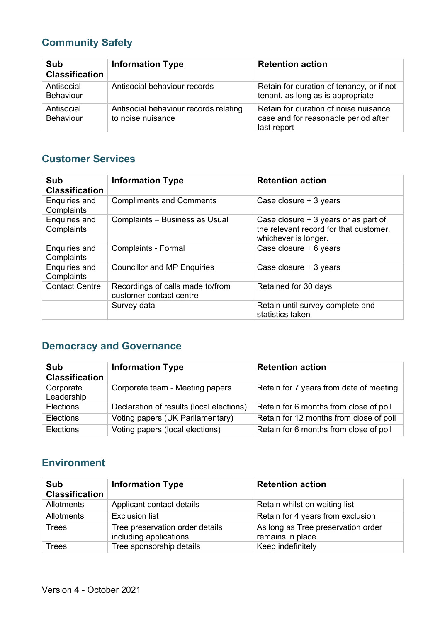### **Community Safety**

| Sub<br><b>Classification</b>   | <b>Information Type</b>                                    | <b>Retention action</b>                                                                      |
|--------------------------------|------------------------------------------------------------|----------------------------------------------------------------------------------------------|
| Antisocial<br><b>Behaviour</b> | Antisocial behaviour records                               | Retain for duration of tenancy, or if not<br>tenant, as long as is appropriate               |
| Antisocial<br><b>Behaviour</b> | Antisocial behaviour records relating<br>to noise nuisance | Retain for duration of noise nuisance<br>case and for reasonable period after<br>last report |

#### **Customer Services**

| Sub<br><b>Classification</b>       | <b>Information Type</b>                                     | <b>Retention action</b>                                                                                |
|------------------------------------|-------------------------------------------------------------|--------------------------------------------------------------------------------------------------------|
| Enquiries and<br>Complaints        | <b>Compliments and Comments</b>                             | Case closure + 3 years                                                                                 |
| <b>Enquiries and</b><br>Complaints | Complaints - Business as Usual                              | Case closure + 3 years or as part of<br>the relevant record for that customer,<br>whichever is longer. |
| Enquiries and<br>Complaints        | <b>Complaints - Formal</b>                                  | Case closure + 6 years                                                                                 |
| Enquiries and<br>Complaints        | <b>Councillor and MP Enquiries</b>                          | Case closure + 3 years                                                                                 |
| <b>Contact Centre</b>              | Recordings of calls made to/from<br>customer contact centre | Retained for 30 days                                                                                   |
|                                    | Survey data                                                 | Retain until survey complete and<br>statistics taken                                                   |

### **Democracy and Governance**

| Sub<br><b>Classification</b> | <b>Information Type</b>                  | <b>Retention action</b>                 |
|------------------------------|------------------------------------------|-----------------------------------------|
| Corporate<br>Leadership      | Corporate team - Meeting papers          | Retain for 7 years from date of meeting |
| <b>Elections</b>             | Declaration of results (local elections) | Retain for 6 months from close of poll  |
| <b>Elections</b>             | Voting papers (UK Parliamentary)         | Retain for 12 months from close of poll |
| <b>Elections</b>             | Voting papers (local elections)          | Retain for 6 months from close of poll  |

#### **Environment**

| Sub<br><b>Classification</b> | <b>Information Type</b>                                   | <b>Retention action</b>                                |
|------------------------------|-----------------------------------------------------------|--------------------------------------------------------|
| <b>Allotments</b>            | Applicant contact details                                 | Retain whilst on waiting list                          |
| <b>Allotments</b>            | <b>Exclusion list</b>                                     | Retain for 4 years from exclusion                      |
| <b>Trees</b>                 | Tree preservation order details<br>including applications | As long as Tree preservation order<br>remains in place |
| <b>Trees</b>                 | Tree sponsorship details                                  | Keep indefinitely                                      |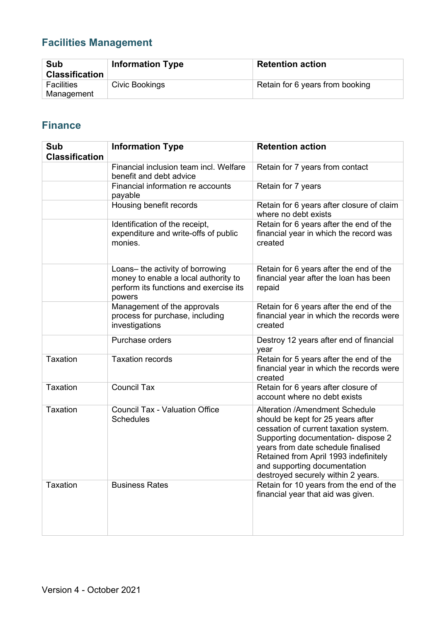### **Facilities Management**

| Sub<br><b>Classification</b>    | <b>Information Type</b> | <b>Retention action</b>         |
|---------------------------------|-------------------------|---------------------------------|
| <b>Facilities</b><br>Management | Civic Bookings          | Retain for 6 years from booking |

#### **Finance**

| Sub<br><b>Classification</b> | <b>Information Type</b>                                                                                                      | <b>Retention action</b>                                                                                                                                                                                                                                                                                         |
|------------------------------|------------------------------------------------------------------------------------------------------------------------------|-----------------------------------------------------------------------------------------------------------------------------------------------------------------------------------------------------------------------------------------------------------------------------------------------------------------|
|                              | Financial inclusion team incl. Welfare<br>benefit and debt advice                                                            | Retain for 7 years from contact                                                                                                                                                                                                                                                                                 |
|                              | Financial information re accounts<br>payable                                                                                 | Retain for 7 years                                                                                                                                                                                                                                                                                              |
|                              | Housing benefit records                                                                                                      | Retain for 6 years after closure of claim<br>where no debt exists                                                                                                                                                                                                                                               |
|                              | Identification of the receipt,<br>expenditure and write-offs of public<br>monies.                                            | Retain for 6 years after the end of the<br>financial year in which the record was<br>created                                                                                                                                                                                                                    |
|                              | Loans- the activity of borrowing<br>money to enable a local authority to<br>perform its functions and exercise its<br>powers | Retain for 6 years after the end of the<br>financial year after the loan has been<br>repaid                                                                                                                                                                                                                     |
|                              | Management of the approvals<br>process for purchase, including<br>investigations                                             | Retain for 6 years after the end of the<br>financial year in which the records were<br>created                                                                                                                                                                                                                  |
|                              | Purchase orders                                                                                                              | Destroy 12 years after end of financial<br>year                                                                                                                                                                                                                                                                 |
| <b>Taxation</b>              | <b>Taxation records</b>                                                                                                      | Retain for 5 years after the end of the<br>financial year in which the records were<br>created                                                                                                                                                                                                                  |
| <b>Taxation</b>              | <b>Council Tax</b>                                                                                                           | Retain for 6 years after closure of<br>account where no debt exists                                                                                                                                                                                                                                             |
| <b>Taxation</b>              | <b>Council Tax - Valuation Office</b><br><b>Schedules</b>                                                                    | <b>Alteration /Amendment Schedule</b><br>should be kept for 25 years after<br>cessation of current taxation system.<br>Supporting documentation- dispose 2<br>years from date schedule finalised<br>Retained from April 1993 indefinitely<br>and supporting documentation<br>destroyed securely within 2 years. |
| <b>Taxation</b>              | <b>Business Rates</b>                                                                                                        | Retain for 10 years from the end of the<br>financial year that aid was given.                                                                                                                                                                                                                                   |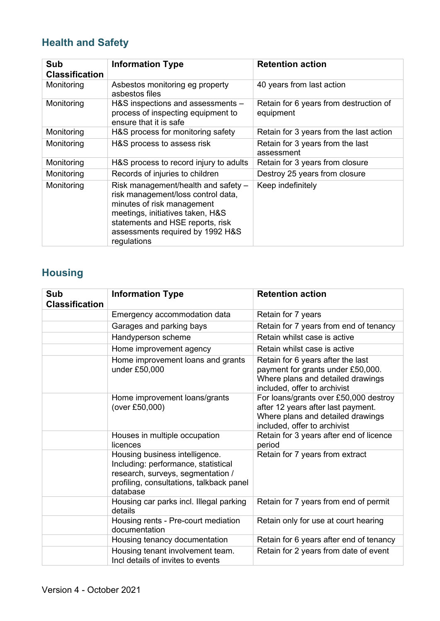### **Health and Safety**

| Sub<br><b>Classification</b> | <b>Information Type</b>                                                                                                                                                                                                            | <b>Retention action</b>                             |
|------------------------------|------------------------------------------------------------------------------------------------------------------------------------------------------------------------------------------------------------------------------------|-----------------------------------------------------|
| Monitoring                   | Asbestos monitoring eg property<br>asbestos files                                                                                                                                                                                  | 40 years from last action                           |
| Monitoring                   | H&S inspections and assessments -<br>process of inspecting equipment to<br>ensure that it is safe                                                                                                                                  | Retain for 6 years from destruction of<br>equipment |
| Monitoring                   | H&S process for monitoring safety                                                                                                                                                                                                  | Retain for 3 years from the last action             |
| Monitoring                   | H&S process to assess risk                                                                                                                                                                                                         | Retain for 3 years from the last<br>assessment      |
| Monitoring                   | H&S process to record injury to adults                                                                                                                                                                                             | Retain for 3 years from closure                     |
| Monitoring                   | Records of injuries to children                                                                                                                                                                                                    | Destroy 25 years from closure                       |
| Monitoring                   | Risk management/health and safety -<br>risk management/loss control data,<br>minutes of risk management<br>meetings, initiatives taken, H&S<br>statements and HSE reports, risk<br>assessments required by 1992 H&S<br>regulations | Keep indefinitely                                   |

### **Housing**

| Sub<br><b>Classification</b> | <b>Information Type</b>                                                                                                                                            | <b>Retention action</b>                                                                                                                          |
|------------------------------|--------------------------------------------------------------------------------------------------------------------------------------------------------------------|--------------------------------------------------------------------------------------------------------------------------------------------------|
|                              | Emergency accommodation data                                                                                                                                       | Retain for 7 years                                                                                                                               |
|                              | Garages and parking bays                                                                                                                                           | Retain for 7 years from end of tenancy                                                                                                           |
|                              | Handyperson scheme                                                                                                                                                 | Retain whilst case is active                                                                                                                     |
|                              | Home improvement agency                                                                                                                                            | Retain whilst case is active                                                                                                                     |
|                              | Home improvement loans and grants<br>under £50,000                                                                                                                 | Retain for 6 years after the last<br>payment for grants under £50,000.<br>Where plans and detailed drawings<br>included, offer to archivist      |
|                              | Home improvement loans/grants<br>(over £50,000)                                                                                                                    | For loans/grants over £50,000 destroy<br>after 12 years after last payment.<br>Where plans and detailed drawings<br>included, offer to archivist |
|                              | Houses in multiple occupation<br>licences                                                                                                                          | Retain for 3 years after end of licence<br>period                                                                                                |
|                              | Housing business intelligence.<br>Including: performance, statistical<br>research, surveys, segmentation /<br>profiling, consultations, talkback panel<br>database | Retain for 7 years from extract                                                                                                                  |
|                              | Housing car parks incl. Illegal parking<br>details                                                                                                                 | Retain for 7 years from end of permit                                                                                                            |
|                              | Housing rents - Pre-court mediation<br>documentation                                                                                                               | Retain only for use at court hearing                                                                                                             |
|                              | Housing tenancy documentation                                                                                                                                      | Retain for 6 years after end of tenancy                                                                                                          |
|                              | Housing tenant involvement team.<br>Incl details of invites to events                                                                                              | Retain for 2 years from date of event                                                                                                            |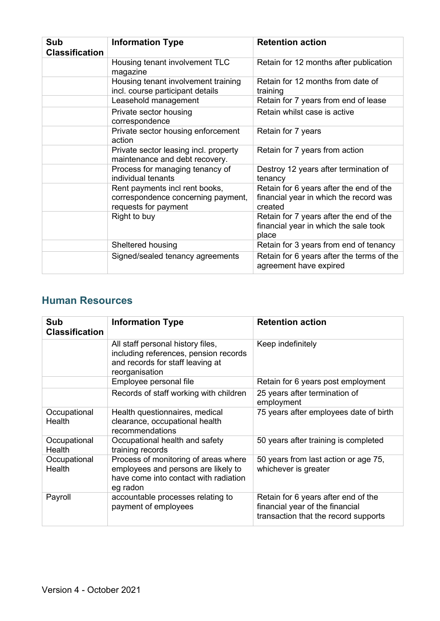| Sub<br><b>Classification</b> | <b>Information Type</b>                                                                      | <b>Retention action</b>                                                                      |
|------------------------------|----------------------------------------------------------------------------------------------|----------------------------------------------------------------------------------------------|
|                              | Housing tenant involvement TLC<br>magazine                                                   | Retain for 12 months after publication                                                       |
|                              | Housing tenant involvement training<br>incl. course participant details                      | Retain for 12 months from date of<br>training                                                |
|                              | Leasehold management                                                                         | Retain for 7 years from end of lease                                                         |
|                              | Private sector housing<br>correspondence                                                     | Retain whilst case is active                                                                 |
|                              | Private sector housing enforcement<br>action                                                 | Retain for 7 years                                                                           |
|                              | Private sector leasing incl. property<br>maintenance and debt recovery.                      | Retain for 7 years from action                                                               |
|                              | Process for managing tenancy of<br>individual tenants                                        | Destroy 12 years after termination of<br>tenancy                                             |
|                              | Rent payments incl rent books,<br>correspondence concerning payment,<br>requests for payment | Retain for 6 years after the end of the<br>financial year in which the record was<br>created |
|                              | Right to buy                                                                                 | Retain for 7 years after the end of the<br>financial year in which the sale took<br>place    |
|                              | Sheltered housing                                                                            | Retain for 3 years from end of tenancy                                                       |
|                              | Signed/sealed tenancy agreements                                                             | Retain for 6 years after the terms of the<br>agreement have expired                          |

#### **Human Resources**

| Sub<br><b>Classification</b> | <b>Information Type</b>                                                                                                          | <b>Retention action</b>                                                                                        |
|------------------------------|----------------------------------------------------------------------------------------------------------------------------------|----------------------------------------------------------------------------------------------------------------|
|                              | All staff personal history files,<br>including references, pension records<br>and records for staff leaving at<br>reorganisation | Keep indefinitely                                                                                              |
|                              | Employee personal file                                                                                                           | Retain for 6 years post employment                                                                             |
|                              | Records of staff working with children                                                                                           | 25 years after termination of<br>employment                                                                    |
| Occupational<br>Health       | Health questionnaires, medical<br>clearance, occupational health<br>recommendations                                              | 75 years after employees date of birth                                                                         |
| Occupational<br>Health       | Occupational health and safety<br>training records                                                                               | 50 years after training is completed                                                                           |
| Occupational<br>Health       | Process of monitoring of areas where<br>employees and persons are likely to<br>have come into contact with radiation<br>eg radon | 50 years from last action or age 75,<br>whichever is greater                                                   |
| Payroll                      | accountable processes relating to<br>payment of employees                                                                        | Retain for 6 years after end of the<br>financial year of the financial<br>transaction that the record supports |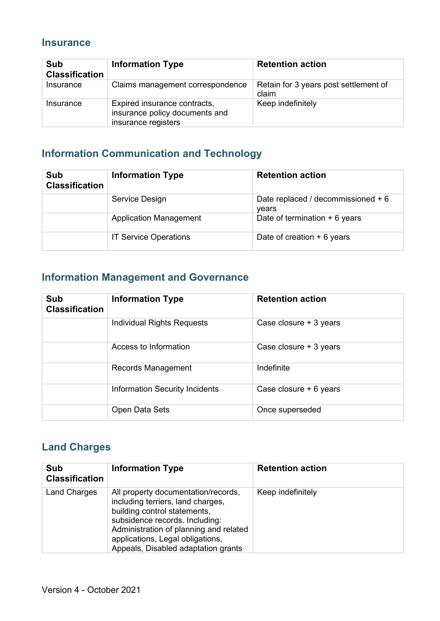#### **Insurance**

| Sub<br><b>Classification</b> | <b>Information Type</b>                                                               | <b>Retention action</b>                        |
|------------------------------|---------------------------------------------------------------------------------------|------------------------------------------------|
| Insurance                    | Claims management correspondence                                                      | Retain for 3 years post settlement of<br>claim |
| Insurance                    | Expired insurance contracts,<br>insurance policy documents and<br>insurance registers | Keep indefinitely                              |

### **Information Communication and Technology**

| Sub<br><b>Classification</b> | <b>Information Type</b>       | <b>Retention action</b>                     |
|------------------------------|-------------------------------|---------------------------------------------|
|                              | Service Design                | Date replaced / decommissioned + 6<br>vears |
|                              | <b>Application Management</b> | Date of termination $+6$ years              |
|                              | <b>IT Service Operations</b>  | Date of creation $+6$ years                 |

#### **Information Management and Governance**

| Sub<br><b>Classification</b> | <b>Information Type</b>               | <b>Retention action</b> |
|------------------------------|---------------------------------------|-------------------------|
|                              | Individual Rights Requests            | Case closure + 3 years  |
|                              | Access to Information                 | Case closure + 3 years  |
|                              | Records Management                    | Indefinite              |
|                              | <b>Information Security Incidents</b> | Case closure + 6 years  |
|                              | Open Data Sets                        | Once superseded         |

#### **Land Charges**

| Sub<br><b>Classification</b> | <b>Information Type</b>                                                                                                                                                                                                                                         | <b>Retention action</b> |
|------------------------------|-----------------------------------------------------------------------------------------------------------------------------------------------------------------------------------------------------------------------------------------------------------------|-------------------------|
| <b>Land Charges</b>          | All property documentation/records,<br>including terriers, land charges,<br>building control statements,<br>subsidence records. Including:<br>Administration of planning and related<br>applications, Legal obligations,<br>Appeals, Disabled adaptation grants | Keep indefinitely       |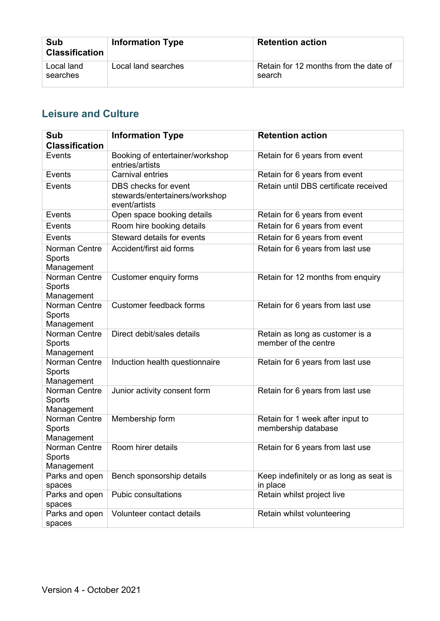| Sub<br><b>Classification</b> | <b>Information Type</b> | <b>Retention action</b>                         |
|------------------------------|-------------------------|-------------------------------------------------|
| Local land<br>searches       | Local land searches     | Retain for 12 months from the date of<br>search |

#### **Leisure and Culture**

| Sub<br><b>Classification</b>                 | <b>Information Type</b>                                                 | <b>Retention action</b>                                 |
|----------------------------------------------|-------------------------------------------------------------------------|---------------------------------------------------------|
| Events                                       | Booking of entertainer/workshop<br>entries/artists                      | Retain for 6 years from event                           |
| Events                                       | <b>Carnival entries</b>                                                 | Retain for 6 years from event                           |
| Events                                       | DBS checks for event<br>stewards/entertainers/workshop<br>event/artists | Retain until DBS certificate received                   |
| Events                                       | Open space booking details                                              | Retain for 6 years from event                           |
| Events                                       | Room hire booking details                                               | Retain for 6 years from event                           |
| Events                                       | Steward details for events                                              | Retain for 6 years from event                           |
| Norman Centre<br>Sports<br>Management        | Accident/first aid forms                                                | Retain for 6 years from last use                        |
| Norman Centre<br>Sports<br>Management        | <b>Customer enquiry forms</b>                                           | Retain for 12 months from enquiry                       |
| Norman Centre<br><b>Sports</b><br>Management | Customer feedback forms                                                 | Retain for 6 years from last use                        |
| Norman Centre<br>Sports<br>Management        | Direct debit/sales details                                              | Retain as long as customer is a<br>member of the centre |
| Norman Centre<br>Sports<br>Management        | Induction health questionnaire                                          | Retain for 6 years from last use                        |
| Norman Centre<br>Sports<br>Management        | Junior activity consent form                                            | Retain for 6 years from last use                        |
| Norman Centre<br>Sports<br>Management        | Membership form                                                         | Retain for 1 week after input to<br>membership database |
| Norman Centre<br>Sports<br>Management        | Room hirer details                                                      | Retain for 6 years from last use                        |
| Parks and open<br>spaces                     | Bench sponsorship details                                               | Keep indefinitely or as long as seat is<br>in place     |
| Parks and open<br>spaces                     | <b>Pubic consultations</b>                                              | Retain whilst project live                              |
| Parks and open<br>spaces                     | Volunteer contact details                                               | Retain whilst volunteering                              |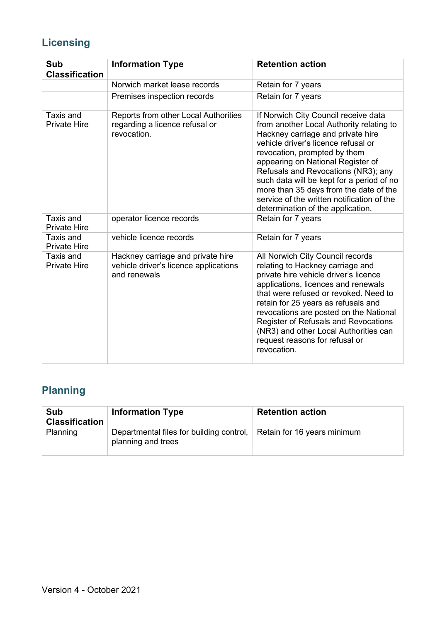### **Licensing**

| Sub<br><b>Classification</b>            | <b>Information Type</b>                                                                    | <b>Retention action</b>                                                                                                                                                                                                                                                                                                                                                                                                                            |
|-----------------------------------------|--------------------------------------------------------------------------------------------|----------------------------------------------------------------------------------------------------------------------------------------------------------------------------------------------------------------------------------------------------------------------------------------------------------------------------------------------------------------------------------------------------------------------------------------------------|
|                                         | Norwich market lease records                                                               | Retain for 7 years                                                                                                                                                                                                                                                                                                                                                                                                                                 |
|                                         | Premises inspection records                                                                | Retain for 7 years                                                                                                                                                                                                                                                                                                                                                                                                                                 |
| Taxis and<br><b>Private Hire</b>        | Reports from other Local Authorities<br>regarding a licence refusal or<br>revocation.      | If Norwich City Council receive data<br>from another Local Authority relating to<br>Hackney carriage and private hire<br>vehicle driver's licence refusal or<br>revocation, prompted by them<br>appearing on National Register of<br>Refusals and Revocations (NR3); any<br>such data will be kept for a period of no<br>more than 35 days from the date of the<br>service of the written notification of the<br>determination of the application. |
| <b>Taxis and</b><br><b>Private Hire</b> | operator licence records                                                                   | Retain for 7 years                                                                                                                                                                                                                                                                                                                                                                                                                                 |
| Taxis and<br><b>Private Hire</b>        | vehicle licence records                                                                    | Retain for 7 years                                                                                                                                                                                                                                                                                                                                                                                                                                 |
| Taxis and<br><b>Private Hire</b>        | Hackney carriage and private hire<br>vehicle driver's licence applications<br>and renewals | All Norwich City Council records<br>relating to Hackney carriage and<br>private hire vehicle driver's licence<br>applications, licences and renewals<br>that were refused or revoked. Need to<br>retain for 25 years as refusals and<br>revocations are posted on the National<br><b>Register of Refusals and Revocations</b><br>(NR3) and other Local Authorities can<br>request reasons for refusal or<br>revocation.                            |

### **Planning**

| Sub<br><b>Classification</b> | <b>Information Type</b>                                        | <b>Retention action</b>     |
|------------------------------|----------------------------------------------------------------|-----------------------------|
| Planning                     | Departmental files for building control,<br>planning and trees | Retain for 16 years minimum |